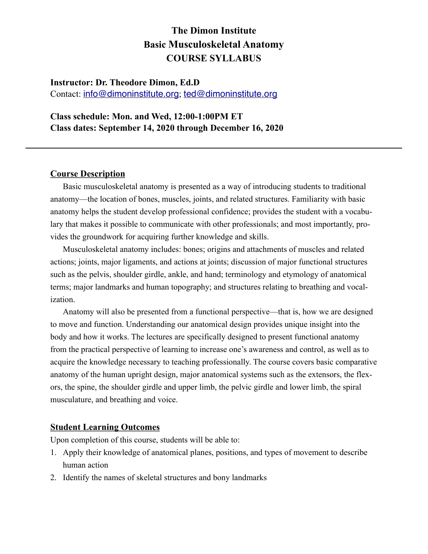## **Instructor: Dr. Theodore Dimon, Ed.D**

Contact: [info@dimoninstitute.org](mailto:info@dimoninstitute.org); [ted@dimoninstitute.org](mailto:ted@dimoninstitute.org)

#### **Class schedule: Mon. and Wed, 12:00-1:00PM ET Class dates: September 14, 2020 through December 16, 2020**

#### **Course Description**

Basic musculoskeletal anatomy is presented as a way of introducing students to traditional anatomy—the location of bones, muscles, joints, and related structures. Familiarity with basic anatomy helps the student develop professional confidence; provides the student with a vocabulary that makes it possible to communicate with other professionals; and most importantly, provides the groundwork for acquiring further knowledge and skills.

Musculoskeletal anatomy includes: bones; origins and attachments of muscles and related actions; joints, major ligaments, and actions at joints; discussion of major functional structures such as the pelvis, shoulder girdle, ankle, and hand; terminology and etymology of anatomical terms; major landmarks and human topography; and structures relating to breathing and vocalization.

Anatomy will also be presented from a functional perspective—that is, how we are designed to move and function. Understanding our anatomical design provides unique insight into the body and how it works. The lectures are specifically designed to present functional anatomy from the practical perspective of learning to increase one's awareness and control, as well as to acquire the knowledge necessary to teaching professionally. The course covers basic comparative anatomy of the human upright design, major anatomical systems such as the extensors, the flexors, the spine, the shoulder girdle and upper limb, the pelvic girdle and lower limb, the spiral musculature, and breathing and voice.

#### **Student Learning Outcomes**

Upon completion of this course, students will be able to:

- 1. Apply their knowledge of anatomical planes, positions, and types of movement to describe human action
- 2. Identify the names of skeletal structures and bony landmarks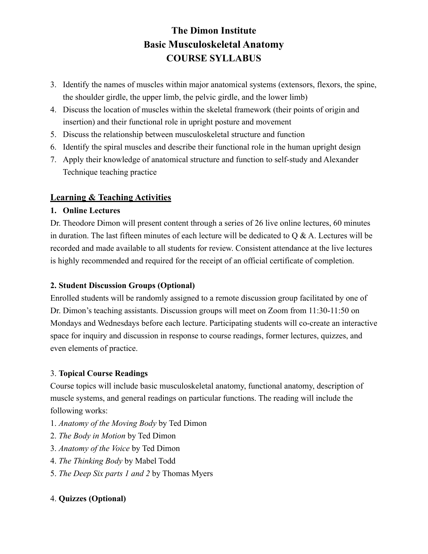- 3. Identify the names of muscles within major anatomical systems (extensors, flexors, the spine, the shoulder girdle, the upper limb, the pelvic girdle, and the lower limb)
- 4. Discuss the location of muscles within the skeletal framework (their points of origin and insertion) and their functional role in upright posture and movement
- 5. Discuss the relationship between musculoskeletal structure and function
- 6. Identify the spiral muscles and describe their functional role in the human upright design
- 7. Apply their knowledge of anatomical structure and function to self-study and Alexander Technique teaching practice

### **Learning & Teaching Activities**

#### **1. Online Lectures**

Dr. Theodore Dimon will present content through a series of 26 live online lectures, 60 minutes in duration. The last fifteen minutes of each lecture will be dedicated to  $\overline{O} \& A$ . Lectures will be recorded and made available to all students for review. Consistent attendance at the live lectures is highly recommended and required for the receipt of an official certificate of completion.

#### **2. Student Discussion Groups (Optional)**

Enrolled students will be randomly assigned to a remote discussion group facilitated by one of Dr. Dimon's teaching assistants. Discussion groups will meet on Zoom from 11:30-11:50 on Mondays and Wednesdays before each lecture. Participating students will co-create an interactive space for inquiry and discussion in response to course readings, former lectures, quizzes, and even elements of practice.

### 3. **Topical Course Readings**

Course topics will include basic musculoskeletal anatomy, functional anatomy, description of muscle systems, and general readings on particular functions. The reading will include the following works:

- 1. *Anatomy of the Moving Body* by Ted Dimon
- 2. *The Body in Motion* by Ted Dimon
- 3. *Anatomy of the Voice* by Ted Dimon
- 4. *The Thinking Body* by Mabel Todd
- 5. *The Deep Six parts 1 and 2* by Thomas Myers

### 4. **Quizzes (Optional)**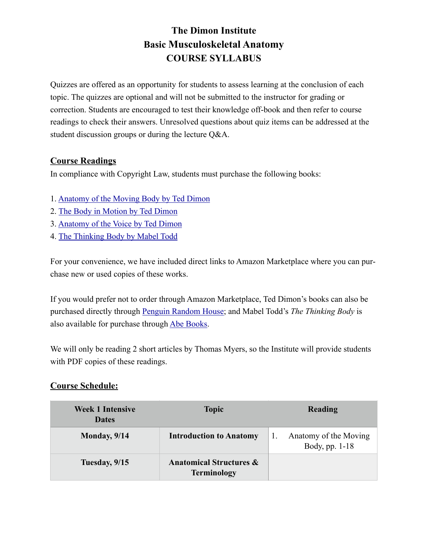Quizzes are offered as an opportunity for students to assess learning at the conclusion of each topic. The quizzes are optional and will not be submitted to the instructor for grading or correction. Students are encouraged to test their knowledge off-book and then refer to course readings to check their answers. Unresolved questions about quiz items can be addressed at the student discussion groups or during the lecture Q&A.

### **Course Readings**

In compliance with Copyright Law, students must purchase the following books:

- 1. [Anatomy of the Moving Body by Ted Dimon](https://www.amazon.com/Anatomy-Moving-Body-Second-Muscles/dp/155643720X/ref=sr_1_1?dchild=1&keywords=anatomy+of+the+moving+body+ted+dimon&qid=1595870349&sr=8-1)
- 2. [The Body in Motion by Ted Dimon](https://www.amazon.com/Body-Motion-Its-Evolution-Design/dp/1556439709/ref=sr_1_1?crid=3BGD682ENV542&dchild=1&keywords=the+body+in+motion&qid=1595870514&sprefix=the+body+in+motion,aps,142&sr=8-1)
- 3. [Anatomy of the Voice by Ted Dimon](https://www.amazon.com/Anatomy-Voice-Illustrated-Singers-Therapists/dp/1623171970/ref=sr_1_1?dchild=1&keywords=anatomy+of+the+voice+ted+dimon&qid=1595870549&sr=8-1)
- 4. [The Thinking Body by Mabel Todd](https://www.amazon.com/Thinking-Body-Mabel-Elsworth-Todd/dp/0939266547/ref=sr_1_1?crid=OP54UHKFER0I&dchild=1&keywords=the+thinking+body+mabel+todd&qid=1595870575&sprefix=the+thinking+body+,aps,139&sr=8-1)

For your convenience, we have included direct links to Amazon Marketplace where you can purchase new or used copies of these works.

If you would prefer not to order through Amazon Marketplace, Ted Dimon's books can also be purchased directly through [Penguin Random House](https://www.penguinrandomhouse.com/authors/2010006/theodore-dimon-jr); and Mabel Todd's *The Thinking Body* is also available for purchase through [Abe Books.](https://www.abebooks.com/servlet/SearchResults?isbn=0871270145&cm_sp=mbc-_-ISBN-_-all)

We will only be reading 2 short articles by Thomas Myers, so the Institute will provide students with PDF copies of these readings.

#### **Course Schedule:**

| <b>Week 1 Intensive</b><br><b>Dates</b> | <b>Topic</b>                                             | Reading                                 |
|-----------------------------------------|----------------------------------------------------------|-----------------------------------------|
| Monday, $9/14$                          | <b>Introduction to Anatomy</b>                           | Anatomy of the Moving<br>Body, pp. 1-18 |
| Tuesday, 9/15                           | <b>Anatomical Structures &amp;</b><br><b>Terminology</b> |                                         |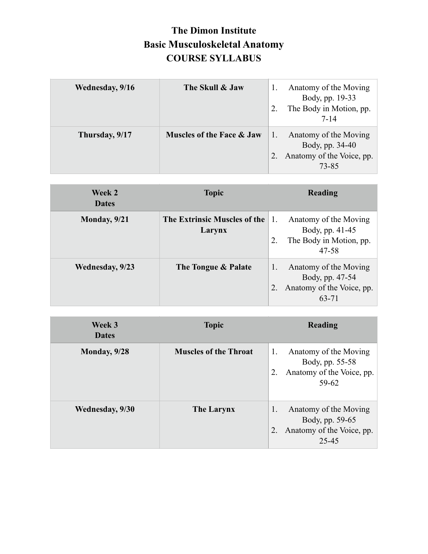| Wednesday, 9/16 | The Skull & Jaw           | Anatomy of the Moving<br>Body, pp. 19-33<br>The Body in Motion, pp.<br>7-14    |
|-----------------|---------------------------|--------------------------------------------------------------------------------|
| Thursday, 9/17  | Muscles of the Face & Jaw | Anatomy of the Moving<br>Body, pp. 34-40<br>Anatomy of the Voice, pp.<br>73-85 |

| Week 2<br><b>Dates</b> | <b>Topic</b>                           | Reading                                                                                              |
|------------------------|----------------------------------------|------------------------------------------------------------------------------------------------------|
| Monday, 9/21           | The Extrinsic Muscles of the<br>Larynx | Anatomy of the Moving<br>$\mathbf{I}$ .<br>Body, pp. 41-45<br>The Body in Motion, pp.<br>2.<br>47-58 |
| Wednesday, 9/23        | The Tongue & Palate                    | Anatomy of the Moving<br>1.<br>Body, pp. 47-54<br>Anatomy of the Voice, pp.<br>63-71                 |

| Week 3<br><b>Dates</b> | <b>Topic</b>                 | Reading                                                                                    |
|------------------------|------------------------------|--------------------------------------------------------------------------------------------|
| Monday, 9/28           | <b>Muscles of the Throat</b> | Anatomy of the Moving<br>1.<br>Body, pp. 55-58<br>Anatomy of the Voice, pp.<br>$59 - 62$   |
| Wednesday, 9/30        | <b>The Larynx</b>            | Anatomy of the Moving<br>1.<br>Body, pp. 59-65<br>Anatomy of the Voice, pp.<br>2.<br>25-45 |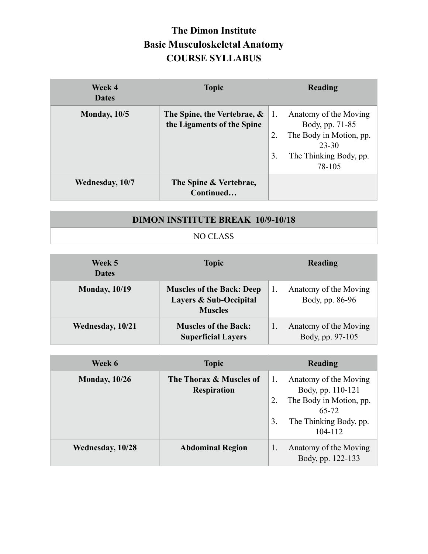| Week 4<br><b>Dates</b> | <b>Topic</b>                                              |                          | Reading                                                                                                          |
|------------------------|-----------------------------------------------------------|--------------------------|------------------------------------------------------------------------------------------------------------------|
| Monday, $10/5$         | The Spine, the Vertebrae, &<br>the Ligaments of the Spine | $\mathbf{L}$<br>2.<br>3. | Anatomy of the Moving<br>Body, pp. 71-85<br>The Body in Motion, pp.<br>23-30<br>The Thinking Body, pp.<br>78-105 |
| Wednesday, 10/7        | The Spine & Vertebrae,<br>Continued                       |                          |                                                                                                                  |

## **DIMON INSTITUTE BREAK 10/9-10/18**

### NO CLASS

| Week 5<br><b>Dates</b> | <b>Topic</b>                                                                 | Reading                                   |
|------------------------|------------------------------------------------------------------------------|-------------------------------------------|
| <b>Monday, 10/19</b>   | <b>Muscles of the Back: Deep</b><br>Layers & Sub-Occipital<br><b>Muscles</b> | Anatomy of the Moving<br>Body, pp. 86-96  |
| Wednesday, 10/21       | <b>Muscles of the Back:</b><br><b>Superficial Layers</b>                     | Anatomy of the Moving<br>Body, pp. 97-105 |

| Week 6               | <b>Topic</b>                                  | Reading                                                                                                                         |
|----------------------|-----------------------------------------------|---------------------------------------------------------------------------------------------------------------------------------|
| <b>Monday, 10/26</b> | The Thorax & Muscles of<br><b>Respiration</b> | Anatomy of the Moving<br>Body, pp. 110-121<br>The Body in Motion, pp.<br>2.<br>65-72<br>The Thinking Body, pp.<br>3.<br>104-112 |
| Wednesday, 10/28     | <b>Abdominal Region</b>                       | Anatomy of the Moving<br>1.<br>Body, pp. 122-133                                                                                |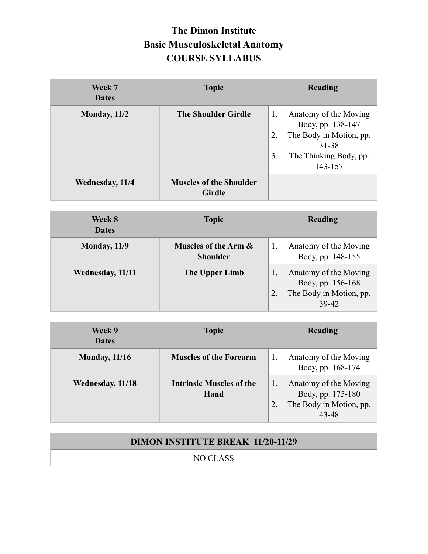| Week 7<br><b>Dates</b> | <b>Topic</b>                                    | <b>Reading</b>                                                                                                                        |
|------------------------|-------------------------------------------------|---------------------------------------------------------------------------------------------------------------------------------------|
| Monday, $11/2$         | <b>The Shoulder Girdle</b>                      | Anatomy of the Moving<br>1.<br>Body, pp. 138-147<br>The Body in Motion, pp.<br>2.<br>31-38<br>3.<br>The Thinking Body, pp.<br>143-157 |
| Wednesday, 11/4        | <b>Muscles of the Shoulder</b><br><b>Girdle</b> |                                                                                                                                       |

| <b>Week 8</b><br><b>Dates</b> | <b>Topic</b>                            | Reading                                                                        |
|-------------------------------|-----------------------------------------|--------------------------------------------------------------------------------|
| Monday, 11/9                  | Muscles of the Arm &<br><b>Shoulder</b> | Anatomy of the Moving<br>Body, pp. 148-155                                     |
| Wednesday, 11/11              | The Upper Limb                          | Anatomy of the Moving<br>Body, pp. 156-168<br>The Body in Motion, pp.<br>39-42 |

| Week 9<br><b>Dates</b> | <b>Topic</b>                            | <b>Reading</b>                                                                 |
|------------------------|-----------------------------------------|--------------------------------------------------------------------------------|
| <b>Monday, 11/16</b>   | <b>Muscles of the Forearm</b>           | Anatomy of the Moving<br>1.<br>Body, pp. 168-174                               |
| Wednesday, 11/18       | <b>Intrinsic Muscles of the</b><br>Hand | Anatomy of the Moving<br>Body, pp. 175-180<br>The Body in Motion, pp.<br>43-48 |

| <b>DIMON INSTITUTE BREAK 11/20-11/29</b> |  |
|------------------------------------------|--|
| NO CLASS                                 |  |
|                                          |  |